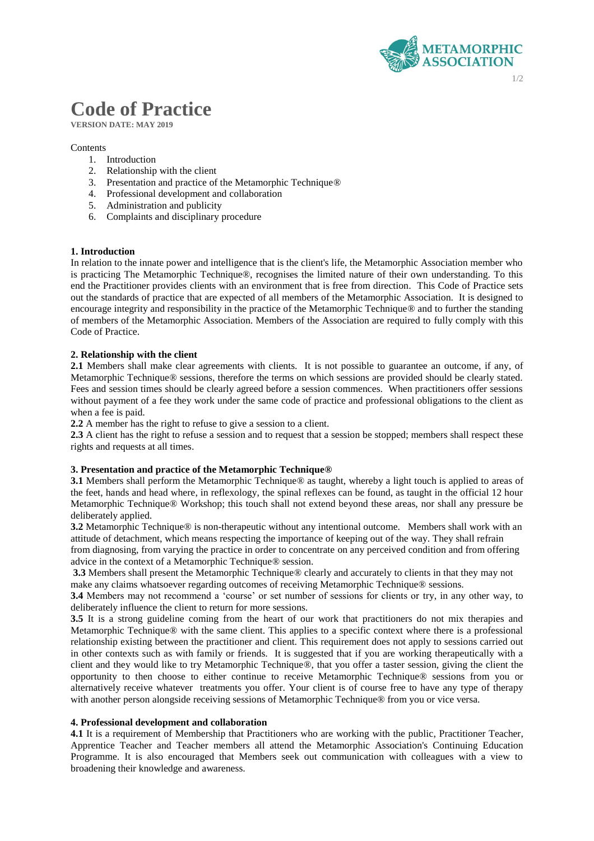

# **Code of Practice**

**VERSION DATE: MAY 2019**

## **Contents**

- 1. Introduction
- 2. Relationship with the client
- 3. Presentation and practice of the Metamorphic Technique®
- 4. Professional development and collaboration
- 5. Administration and publicity
- 6. Complaints and disciplinary procedure

## **1. Introduction**

In relation to the innate power and intelligence that is the client's life, the Metamorphic Association member who is practicing The Metamorphic Technique®, recognises the limited nature of their own understanding. To this end the Practitioner provides clients with an environment that is free from direction. This Code of Practice sets out the standards of practice that are expected of all members of the Metamorphic Association. It is designed to encourage integrity and responsibility in the practice of the Metamorphic Technique® and to further the standing of members of the Metamorphic Association. Members of the Association are required to fully comply with this Code of Practice.

## **2. Relationship with the client**

**2.1** Members shall make clear agreements with clients. It is not possible to guarantee an outcome, if any, of Metamorphic Technique® sessions, therefore the terms on which sessions are provided should be clearly stated. Fees and session times should be clearly agreed before a session commences. When practitioners offer sessions without payment of a fee they work under the same code of practice and professional obligations to the client as when a fee is paid.

**2.2** A member has the right to refuse to give a session to a client.

**2.3** A client has the right to refuse a session and to request that a session be stopped; members shall respect these rights and requests at all times.

## **3. Presentation and practice of the Metamorphic Technique®**

**3.1** Members shall perform the Metamorphic Technique® as taught, whereby a light touch is applied to areas of the feet, hands and head where, in reflexology, the spinal reflexes can be found, as taught in the official 12 hour Metamorphic Technique® Workshop; this touch shall not extend beyond these areas, nor shall any pressure be deliberately applied.

**3.2** Metamorphic Technique® is non-therapeutic without any intentional outcome. Members shall work with an attitude of detachment, which means respecting the importance of keeping out of the way. They shall refrain

from diagnosing, from varying the practice in order to concentrate on any perceived condition and from offering advice in the context of a Metamorphic Technique® session.

**3.3** Members shall present the Metamorphic Technique® clearly and accurately to clients in that they may not make any claims whatsoever regarding outcomes of receiving Metamorphic Technique® sessions.

**3.4** Members may not recommend a 'course' or set number of sessions for clients or try, in any other way, to deliberately influence the client to return for more sessions.

**3.5** It is a strong guideline coming from the heart of our work that practitioners do not mix therapies and Metamorphic Technique® with the same client. This applies to a specific context where there is a professional relationship existing between the practitioner and client. This requirement does not apply to sessions carried out in other contexts such as with family or friends. It is suggested that if you are working therapeutically with a client and they would like to try Metamorphic Technique®, that you offer a taster session, giving the client the opportunity to then choose to either continue to receive Metamorphic Technique® sessions from you or alternatively receive whatever treatments you offer. Your client is of course free to have any type of therapy with another person alongside receiving sessions of Metamorphic Technique® from you or vice versa.

## **4. Professional development and collaboration**

**4.1** It is a requirement of Membership that Practitioners who are working with the public, Practitioner Teacher, Apprentice Teacher and Teacher members all attend the Metamorphic Association's Continuing Education Programme. It is also encouraged that Members seek out communication with colleagues with a view to broadening their knowledge and awareness.